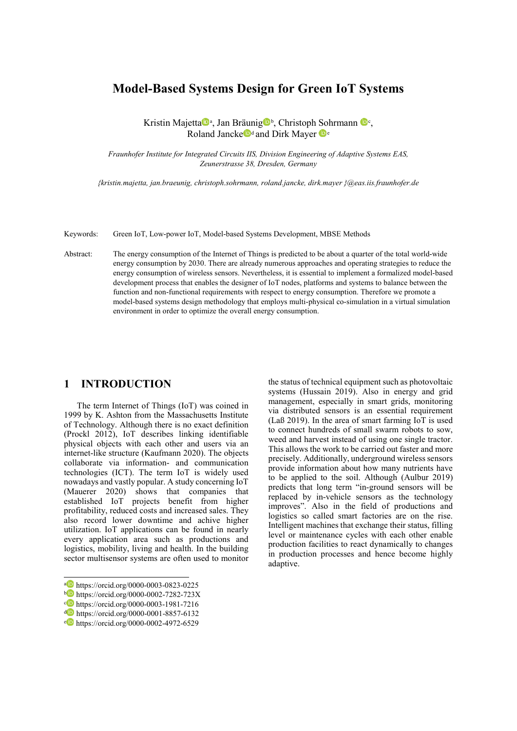# **Model-Based Systems Design for Green IoT Systems**

Kristin M[a](#page-0-0)jetta<sup>n</sup>a, Jan Bräunig<sup>n</sup>[b](#page-0-1), Christoph Sohrmann <sup>no[c](#page-0-2)</sup>, Rolan[d](#page-0-3) Janck[e](#page-0-4) d and Dirk Mayer De

*Fraunhofer Institute for Integrated Circuits IIS, Division Engineering of Adaptive Systems EAS, Zeunerstrasse 38, Dresden, Germany*

*{kristin.majetta, jan.braeunig, christoph.sohrmann, roland.jancke, dirk.mayer }@eas.iis.fraunhofer.de*

Keywords: Green IoT, Low-power IoT, Model-based Systems Development, MBSE Methods

Abstract: The energy consumption of the Internet of Things is predicted to be about a quarter of the total world-wide energy consumption by 2030. There are already numerous approaches and operating strategies to reduce the energy consumption of wireless sensors. Nevertheless, it is essential to implement a formalized model-based development process that enables the designer of IoT nodes, platforms and systems to balance between the function and non-functional requirements with respect to energy consumption. Therefore we promote a model-based systems design methodology that employs multi-physical co-simulation in a virtual simulation environment in order to optimize the overall energy consumption.

## **1 INTRODUCTION**

The term Internet of Things (IoT) was coined in 1999 by K. Ashton from the Massachusetts Institute of Technology. Although there is no exact definition (Prockl 2012), IoT describes linking identifiable physical objects with each other and users via an internet-like structure (Kaufmann 2020). The objects collaborate via information- and communication technologies (ICT). The term IoT is widely used nowadays and vastly popular. A study concerning IoT (Mauerer 2020) shows that companies that established IoT projects benefit from higher profitability, reduced costs and increased sales. They also record lower downtime and achive higher utilization. IoT applications can be found in nearly every application area such as productions and logistics, mobility, living and health. In the building sector multisensor systems are often used to monitor

 $\overline{a}$ 

the status of technical equipment such as photovoltaic systems (Hussain 2019). Also in energy and grid management, especially in smart grids, monitoring via distributed sensors is an essential requirement (Laß 2019). In the area of smart farming IoT is used to connect hundreds of small swarm robots to sow, weed and harvest instead of using one single tractor. This allows the work to be carried out faster and more precisely. Additionally, underground wireless sensors provide information about how many nutrients have to be applied to the soil. Although (Aulbur 2019) predicts that long term "in-ground sensors will be replaced by in-vehicle sensors as the technology improves". Also in the field of productions and logistics so called smart factories are on the rise. Intelligent machines that exchange their status, filling level or maintenance cycles with each other enable production facilities to react dynamically to changes in production processes and hence become highly adaptive.

<span id="page-0-0"></span>a https://orcid.org/0000-0003-0823-0225

<span id="page-0-1"></span> $b$  https://orcid.org/0000-0002-7282-723X

<span id="page-0-2"></span> $c$  https://orcid.org/0000-0003-1981-7216

<span id="page-0-3"></span><sup>d</sup> https://orcid.org/0000-0001-8857-6132

<span id="page-0-4"></span><sup>e</sup> https://orcid.org/0000-0002-4972-6529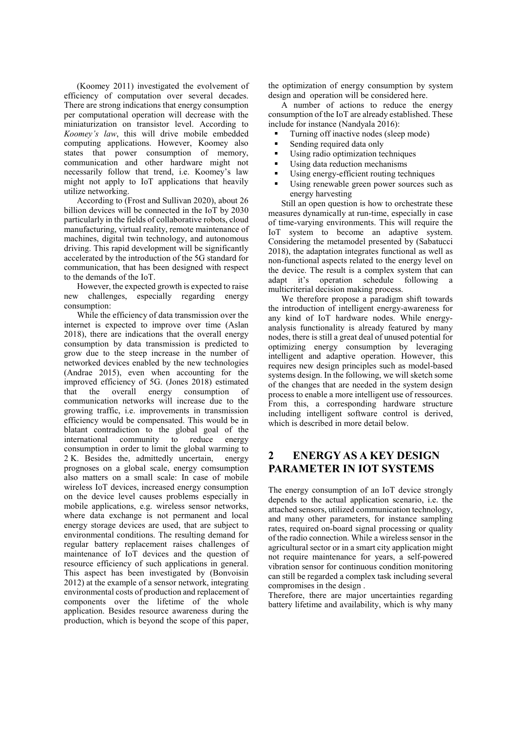(Koomey 2011) investigated the evolvement of efficiency of computation over several decades. There are strong indications that energy consumption per computational operation will decrease with the miniaturization on transistor level. According to *Koomey's law*, this will drive mobile embedded computing applications. However, Koomey also states that power consumption of memory, communication and other hardware might not necessarily follow that trend, i.e. Koomey's law might not apply to IoT applications that heavily utilize networking.

According to (Frost and Sullivan 2020), about 26 billion devices will be connected in the IoT by 2030 particularly in the fields of collaborative robots, cloud manufacturing, virtual reality, remote maintenance of machines, digital twin technology, and autonomous driving. This rapid development will be significantly accelerated by the introduction of the 5G standard for communication, that has been designed with respect to the demands of the IoT.

However, the expected growth is expected to raise new challenges, especially regarding energy consumption:

While the efficiency of data transmission over the internet is expected to improve over time (Aslan 2018), there are indications that the overall energy consumption by data transmission is predicted to grow due to the steep increase in the number of networked devices enabled by the new technologies (Andrae 2015), even when accounting for the improved efficiency of 5G. (Jones 2018) estimated that the overall energy consumption of communication networks will increase due to the growing traffic, i.e. improvements in transmission efficiency would be compensated. This would be in blatant contradiction to the global goal of the international community to reduce energy consumption in order to limit the global warming to 2 K. Besides the, admittedly uncertain, energy 2 K. Besides the, admittedly uncertain, prognoses on a global scale, energy comsumption also matters on a small scale: In case of mobile wireless IoT devices, increased energy consumption on the device level causes problems especially in mobile applications, e.g. wireless sensor networks, where data exchange is not permanent and local energy storage devices are used, that are subject to environmental conditions. The resulting demand for regular battery replacement raises challenges of maintenance of IoT devices and the question of resource efficiency of such applications in general. This aspect has been investigated by (Bonvoisin 2012) at the example of a sensor network, integrating environmental costs of production and replacement of components over the lifetime of the whole application. Besides resource awareness during the production, which is beyond the scope of this paper,

the optimization of energy consumption by system design and operation will be considered here.

A number of actions to reduce the energy consumption of the IoT are already established. These include for instance (Nandyala 2016):

- Turning off inactive nodes (sleep mode)
- Sending required data only
- Using radio optimization techniques
- Using data reduction mechanisms
- Using energy-efficient routing techniques
- Using renewable green power sources such as energy harvesting

Still an open question is how to orchestrate these measures dynamically at run-time, especially in case of time-varying environments. This will require the IoT system to become an adaptive system. Considering the metamodel presented by (Sabatucci 2018), the adaptation integrates functional as well as non-functional aspects related to the energy level on the device. The result is a complex system that can adapt it's operation schedule following a multicriterial decision making process.

We therefore propose a paradigm shift towards the introduction of intelligent energy-awareness for any kind of IoT hardware nodes. While energyanalysis functionality is already featured by many nodes, there is still a great deal of unused potential for optimizing energy consumption by leveraging intelligent and adaptive operation. However, this requires new design principles such as model-based systems design. In the following, we will sketch some of the changes that are needed in the system design process to enable a more intelligent use of ressources. From this, a corresponding hardware structure including intelligent software control is derived, which is described in more detail below.

# **2 ENERGY AS A KEY DESIGN PARAMETER IN IOT SYSTEMS**

The energy consumption of an IoT device strongly depends to the actual application scenario, i.e. the attached sensors, utilized communication technology, and many other parameters, for instance sampling rates, required on-board signal processing or quality of the radio connection. While a wireless sensor in the agricultural sector or in a smart city application might not require maintenance for years, a self-powered vibration sensor for continuous condition monitoring can still be regarded a complex task including several compromises in the design .

Therefore, there are major uncertainties regarding battery lifetime and availability, which is why many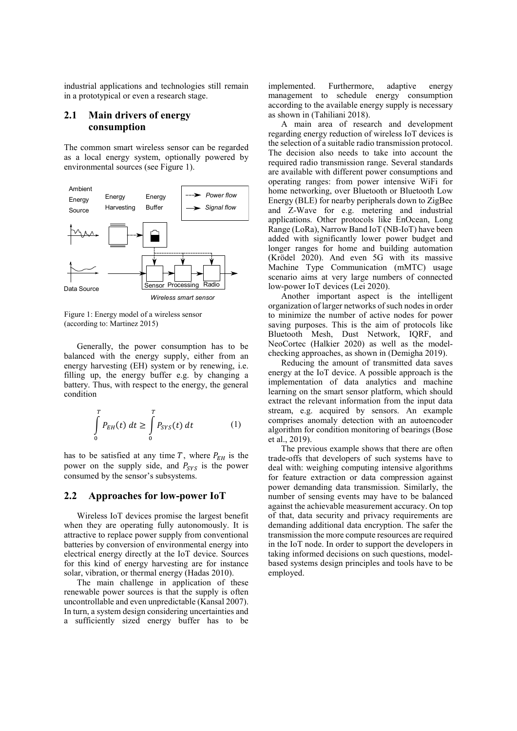industrial applications and technologies still remain in a prototypical or even a research stage.

### **2.1 Main drivers of energy consumption**

The common smart wireless sensor can be regarded as a local energy system, optionally powered by environmental sources (see Figure 1).



Figure 1: Energy model of a wireless sensor (according to: Martinez 2015)

Generally, the power consumption has to be balanced with the energy supply, either from an energy harvesting (EH) system or by renewing, i.e. filling up, the energy buffer e.g. by changing a battery. Thus, with respect to the energy, the general condition

$$
\int_{0}^{T} P_{EH}(t) dt \ge \int_{0}^{T} P_{SYS}(t) dt
$$
 (1)

has to be satisfied at any time  $T$ , where  $P_{EH}$  is the power on the supply side, and  $P_{SYS}$  is the power consumed by the sensor's subsystems.

### **2.2 Approaches for low-power IoT**

Wireless IoT devices promise the largest benefit when they are operating fully autonomously. It is attractive to replace power supply from conventional batteries by conversion of environmental energy into electrical energy directly at the IoT device. Sources for this kind of energy harvesting are for instance solar, vibration, or thermal energy (Hadas 2010).

The main challenge in application of these renewable power sources is that the supply is often uncontrollable and even unpredictable (Kansal 2007). In turn, a system design considering uncertainties and a sufficiently sized energy buffer has to be

implemented. Furthermore, adaptive energy management to schedule energy consumption according to the available energy supply is necessary as shown in (Tahiliani 2018).

A main area of research and development regarding energy reduction of wireless IoT devices is the selection of a suitable radio transmission protocol. The decision also needs to take into account the required radio transmission range. Several standards are available with different power consumptions and operating ranges: from power intensive WiFi for home networking, over Bluetooth or Bluetooth Low Energy (BLE) for nearby peripherals down to ZigBee and Z-Wave for e.g. metering and industrial applications. Other protocols like EnOcean, Long Range (LoRa), Narrow Band IoT (NB-IoT) have been added with significantly lower power budget and longer ranges for home and building automation (Krödel 2020). And even 5G with its massive Machine Type Communication (mMTC) usage scenario aims at very large numbers of connected low-power IoT devices (Lei 2020).

Another important aspect is the intelligent organization of larger networks of such nodes in order to minimize the number of active nodes for power saving purposes. This is the aim of protocols like Bluetooth Mesh, Dust Network, IQRF, and NeoCortec (Halkier 2020) as well as the modelchecking approaches, as shown in (Demigha 2019).

Reducing the amount of transmitted data saves energy at the IoT device. A possible approach is the implementation of data analytics and machine learning on the smart sensor platform, which should extract the relevant information from the input data stream, e.g. acquired by sensors. An example comprises anomaly detection with an autoencoder algorithm for condition monitoring of bearings (Bose et al., 2019).

The previous example shows that there are often trade-offs that developers of such systems have to deal with: weighing computing intensive algorithms for feature extraction or data compression against power demanding data transmission. Similarly, the number of sensing events may have to be balanced against the achievable measurement accuracy. On top of that, data security and privacy requirements are demanding additional data encryption. The safer the transmission the more compute resources are required in the IoT node. In order to support the developers in taking informed decisions on such questions, modelbased systems design principles and tools have to be employed.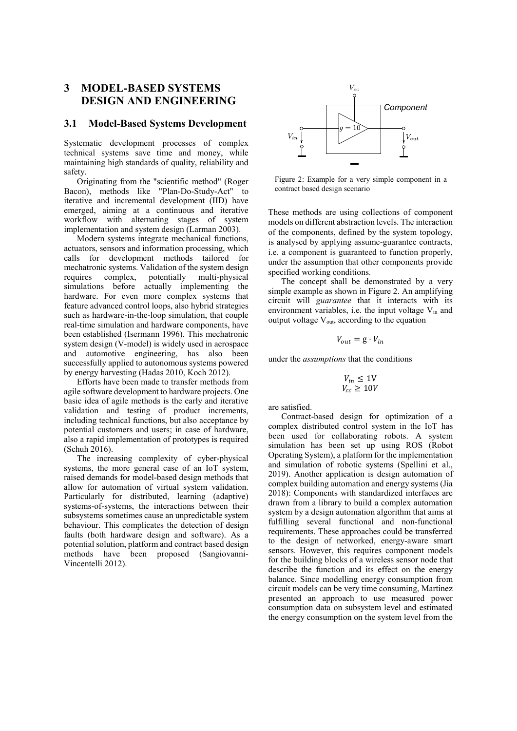## **3 MODEL-BASED SYSTEMS DESIGN AND ENGINEERING**

#### **3.1 Model-Based Systems Development**

Systematic development processes of complex technical systems save time and money, while maintaining high standards of quality, reliability and safety.

Originating from the "scientific method" (Roger Bacon), methods like "Plan-Do-Study-Act" to iterative and incremental development (IID) have emerged, aiming at a continuous and iterative workflow with alternating stages of system implementation and system design (Larman 2003).

Modern systems integrate mechanical functions, actuators, sensors and information processing, which calls for development methods tailored for mechatronic systems. Validation of the system design requires complex, potentially multi-physical simulations before actually implementing the hardware. For even more complex systems that feature advanced control loops, also hybrid strategies such as hardware-in-the-loop simulation, that couple real-time simulation and hardware components, have been established (Isermann 1996). This mechatronic system design (V-model) is widely used in aerospace and automotive engineering, has also been successfully applied to autonomous systems powered by energy harvesting (Hadas 2010, Koch 2012).

Efforts have been made to transfer methods from agile software development to hardware projects. One basic idea of agile methods is the early and iterative validation and testing of product increments, including technical functions, but also acceptance by potential customers and users; in case of hardware, also a rapid implementation of prototypes is required (Schuh 2016).

The increasing complexity of cyber-physical systems, the more general case of an IoT system, raised demands for model-based design methods that allow for automation of virtual system validation. Particularly for distributed, learning (adaptive) systems-of-systems, the interactions between their subsystems sometimes cause an unpredictable system behaviour. This complicates the detection of design faults (both hardware design and software). As a potential solution, platform and contract based design methods have been proposed (Sangiovanni-Vincentelli 2012).



Figure 2: Example for a very simple component in a contract based design scenario

These methods are using collections of component models on different abstraction levels. The interaction of the components, defined by the system topology, is analysed by applying assume-guarantee contracts, i.e. a component is guaranteed to function properly, under the assumption that other components provide specified working conditions.

The concept shall be demonstrated by a very simple example as shown in Figure 2. An amplifying circuit will *guarantee* that it interacts with its environment variables, i.e. the input voltage V<sub>in</sub> and output voltage  $V_{\text{out}}$ , according to the equation

$$
V_{out} = g \cdot V_{in}
$$

under the *assumptions* that the conditions

$$
V_{in} \le 10V
$$
  

$$
V_{cc} \ge 10V
$$

are satisfied.

Contract-based design for optimization of a complex distributed control system in the IoT has been used for collaborating robots. A system simulation has been set up using ROS (Robot Operating System), a platform for the implementation and simulation of robotic systems (Spellini et al., 2019). Another application is design automation of complex building automation and energy systems (Jia 2018): Components with standardized interfaces are drawn from a library to build a complex automation system by a design automation algorithm that aims at fulfilling several functional and non-functional requirements. These approaches could be transferred to the design of networked, energy-aware smart sensors. However, this requires component models for the building blocks of a wireless sensor node that describe the function and its effect on the energy balance. Since modelling energy consumption from circuit models can be very time consuming, Martinez presented an approach to use measured power consumption data on subsystem level and estimated the energy consumption on the system level from the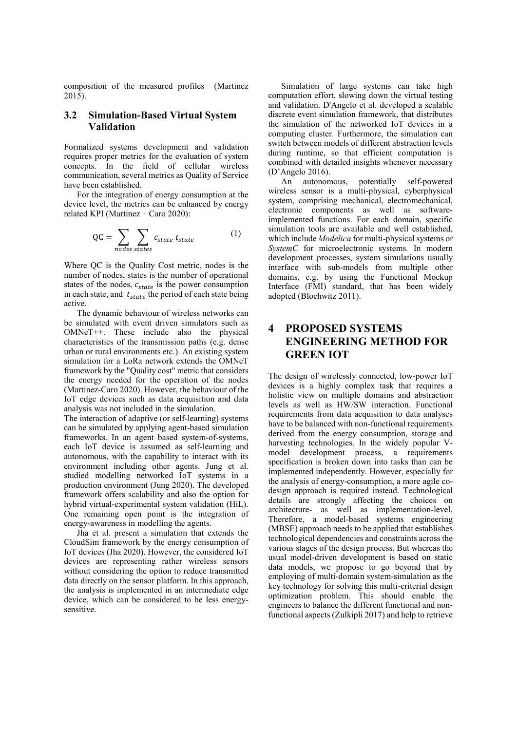composition of the measured profiles (Martinez 2015).

### **3.2 Simulation-Based Virtual System Validation**

Formalized systems development and validation requires proper metrics for the evaluation of system concepts. In the field of cellular wireless communication, several metrics as Quality of Service have been established.

For the integration of energy consumption at the device level, the metrics can be enhanced by energy related KPI (Martinez - Caro 2020):

$$
QC = \sum_{nodes\; states} \sum_{states} c_{state} \; t_{state} \tag{1}
$$

Where QC is the Quality Cost metric, nodes is the number of nodes, states is the number of operational states of the nodes,  $c_{state}$  is the power consumption in each state, and  $t_{state}$  the period of each state being active.

The dynamic behaviour of wireless networks can be simulated with event driven simulators such as OMNeT++. These include also the physical characteristics of the transmission paths (e.g. dense urban or rural environments etc.). An existing system simulation for a LoRa network extends the OMNeT framework by the "Quality cost" metric that considers the energy needed for the operation of the nodes (Martinez-Caro 2020). However, the behaviour of the IoT edge devices such as data acquisition and data analysis was not included in the simulation.

The interaction of adaptive (or self-learning) systems can be simulated by applying agent-based simulation frameworks. In an agent based system-of-systems, each IoT device is assumed as self-learning and autonomous, with the capability to interact with its environment including other agents. Jung et al. studied modelling networked IoT systems in a production environment (Jung 2020). The developed framework offers scalability and also the option for hybrid virtual-experimental system validation (HiL). One remaining open point is the integration of energy-awareness in modelling the agents.

Jha et al. present a simulation that extends the CloudSim framework by the energy consumption of IoT devices (Jha 2020). However, the considered IoT devices are representing rather wireless sensors without considering the option to reduce transmitted data directly on the sensor platform. In this approach, the analysis is implemented in an intermediate edge device, which can be considered to be less energysensitive.

Simulation of large systems can take high computation effort, slowing down the virtual testing and validation. D'Angelo et al. developed a scalable discrete event simulation framework, that distributes the simulation of the networked IoT devices in a computing cluster. Furthermore, the simulation can switch between models of different abstraction levels during runtime, so that efficient computation is combined with detailed insights whenever necessary (D'Angelo 2016).

An autonomous, potentially self-powered wireless sensor is a multi-physical, cyberphysical system, comprising mechanical, electromechanical, electronic components as well as softwareimplemented functions. For each domain, specific simulation tools are available and well established, which include *Modelica* for multi-physical systems or *SystemC* for microelectronic systems. In modern development processes, system simulations usually interface with sub-models from multiple other domains, e.g. by using the Functional Mockup Interface (FMI) standard, that has been widely adopted (Blochwitz 2011).

# **4 PROPOSED SYSTEMS ENGINEERING METHOD FOR GREEN IOT**

The design of wirelessly connected, low-power IoT devices is a highly complex task that requires a holistic view on multiple domains and abstraction levels as well as HW/SW interaction. Functional requirements from data acquisition to data analyses have to be balanced with non-functional requirements derived from the energy consumption, storage and harvesting technologies. In the widely popular Vmodel development process, a requirements specification is broken down into tasks than can be implemented independently. However, especially for the analysis of energy-consumption, a more agile codesign approach is required instead. Technological details are strongly affecting the choices on architecture- as well as implementation-level. Therefore, a model-based systems engineering (MBSE) approach needs to be applied that establishes technological dependencies and constraints across the various stages of the design process. But whereas the usual model-driven development is based on static data models, we propose to go beyond that by employing of multi-domain system-simulation as the key technology for solving this multi-criterial design optimization problem. This should enable the engineers to balance the different functional and nonfunctional aspects (Zulkipli 2017) and help to retrieve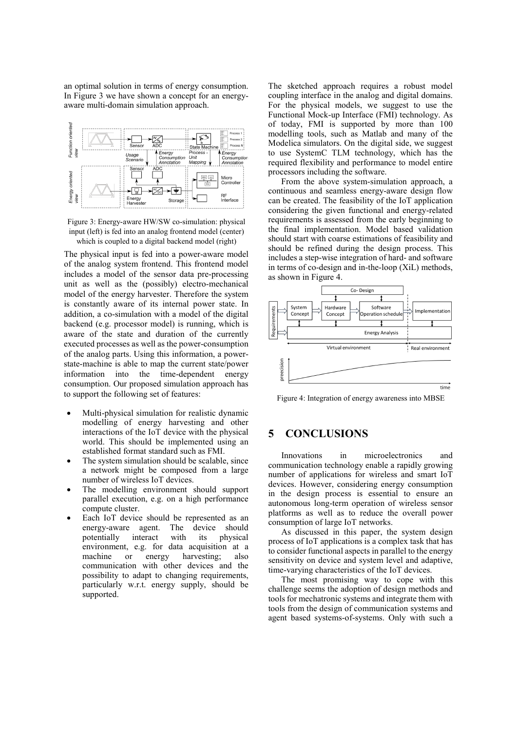an optimal solution in terms of energy consumption. In Figure 3 we have shown a concept for an energyaware multi-domain simulation approach.



Figure 3: Energy-aware HW/SW co-simulation: physical input (left) is fed into an analog frontend model (center) which is coupled to a digital backend model (right)

The physical input is fed into a power-aware model of the analog system frontend. This frontend model includes a model of the sensor data pre-processing unit as well as the (possibly) electro-mechanical model of the energy harvester. Therefore the system is constantly aware of its internal power state. In addition, a co-simulation with a model of the digital backend (e.g. processor model) is running, which is aware of the state and duration of the currently executed processes as well as the power-consumption of the analog parts. Using this information, a powerstate-machine is able to map the current state/power information into the time-dependent energy consumption. Our proposed simulation approach has to support the following set of features:

- Multi-physical simulation for realistic dynamic modelling of energy harvesting and other interactions of the IoT device with the physical world. This should be implemented using an established format standard such as FMI.
- The system simulation should be scalable, since a network might be composed from a large number of wireless IoT devices.
- The modelling environment should support parallel execution, e.g. on a high performance compute cluster.
- Each IoT device should be represented as an energy-aware agent. The device should potentially interact with its physical environment, e.g. for data acquisition at a machine or energy harvesting; also communication with other devices and the possibility to adapt to changing requirements, particularly w.r.t. energy supply, should be supported.

The sketched approach requires a robust model coupling interface in the analog and digital domains. For the physical models, we suggest to use the Functional Mock-up Interface (FMI) technology. As of today, FMI is supported by more than 100 modelling tools, such as Matlab and many of the Modelica simulators. On the digital side, we suggest to use SystemC TLM technology, which has the required flexibility and performance to model entire processors including the software.

From the above system-simulation approach, a continuous and seamless energy-aware design flow can be created. The feasibility of the IoT application considering the given functional and energy-related requirements is assessed from the early beginning to the final implementation. Model based validation should start with coarse estimations of feasibility and should be refined during the design process. This includes a step-wise integration of hard- and software in terms of co-design and in-the-loop (XiL) methods, as shown in Figure 4.



Figure 4: Integration of energy awareness into MBSE

### **5 CONCLUSIONS**

Innovations in microelectronics and communication technology enable a rapidly growing number of applications for wireless and smart IoT devices. However, considering energy consumption in the design process is essential to ensure an autonomous long-term operation of wireless sensor platforms as well as to reduce the overall power consumption of large IoT networks.

As discussed in this paper, the system design process of IoT applications is a complex task that has to consider functional aspects in parallel to the energy sensitivity on device and system level and adaptive, time-varying characteristics of the IoT devices.

The most promising way to cope with this challenge seems the adoption of design methods and tools for mechatronic systems and integrate them with tools from the design of communication systems and agent based systems-of-systems. Only with such a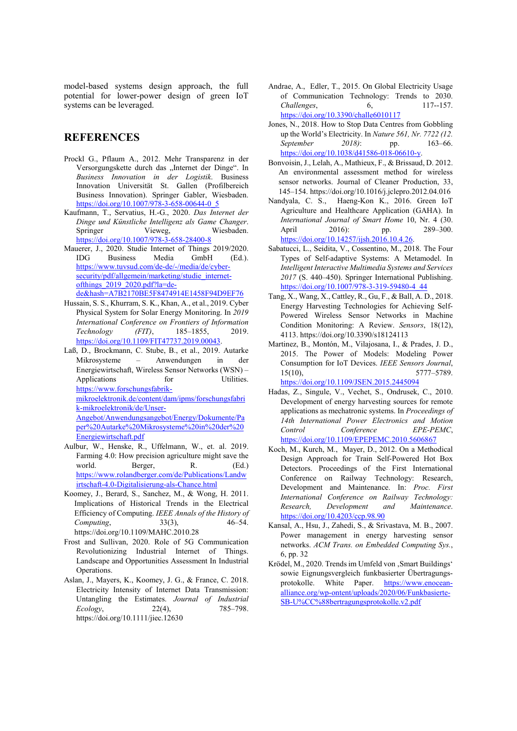model-based systems design approach, the full potential for lower-power design of green IoT systems can be leveraged.

# **REFERENCES**

- Prockl G., Pflaum A., 2012. Mehr Transparenz in der Versorgungskette durch das "Internet der Dinge". In *Business Innovation in der Logistik*. Business Innovation Universität St. Gallen (Profilbereich Business Innovation). Springer Gabler, Wiesbaden. [https://doi.org/10.1007/978-3-658-00644-0\\_5](https://doi.org/10.1007/978-3-658-00644-0_5)
- Kaufmann, T., Servatius, H.-G., 2020. *Das Internet der Dinge und Künstliche Intelligenz als Game Changer*. Springer Vieweg, Wiesbaden. <https://doi.org/10.1007/978-3-658-28400-8>
- Mauerer, J., 2020. Studie Internet of Things 2019/2020. IDG Business Media GmbH (Ed.). [https://www.tuvsud.com/de-de/-/media/de/cyber](https://www.tuvsud.com/de-de/-/media/de/cyber-security/pdf/allgemein/marketing/studie_internet-ofthings_2019_2020.pdf?la=de-de&hash=A7B2170BE5F8474914E1458F94D9EF76)[security/pdf/allgemein/marketing/studie\\_internet](https://www.tuvsud.com/de-de/-/media/de/cyber-security/pdf/allgemein/marketing/studie_internet-ofthings_2019_2020.pdf?la=de-de&hash=A7B2170BE5F8474914E1458F94D9EF76)[ofthings\\_2019\\_2020.pdf?la=de](https://www.tuvsud.com/de-de/-/media/de/cyber-security/pdf/allgemein/marketing/studie_internet-ofthings_2019_2020.pdf?la=de-de&hash=A7B2170BE5F8474914E1458F94D9EF76)[de&hash=A7B2170BE5F8474914E1458F94D9EF76](https://www.tuvsud.com/de-de/-/media/de/cyber-security/pdf/allgemein/marketing/studie_internet-ofthings_2019_2020.pdf?la=de-de&hash=A7B2170BE5F8474914E1458F94D9EF76)
- Hussain, S. S., Khurram, S. K., Khan, A., et al., 2019. Cyber Physical System for Solar Energy Monitoring. In *2019 International Conference on Frontiers of Information Technology (FIT)*, 185–1855, 2019. [https://doi.org/10.1109/FIT47737.2019.00043.](https://doi.org/10.1109/FIT47737.2019.00043)
- Laß, D., Brockmann, C. Stube, B., et al., 2019. Autarke Mikrosysteme – Anwendungen in der Energiewirtschaft, Wireless Sensor Networks (WSN) – Applications for Utilities. [https://www.forschungsfabrik](https://www.forschungsfabrik-mikroelektronik.de/content/dam/ipms/forschungsfabrik-mikroelektronik/de/Unser-Angebot/Anwendungsangebot/Energy/Dokumente/Paper%20Autarke%20Mikrosysteme%20in%20der%20Energiewirtschaft.pdf)[mikroelektronik.de/content/dam/ipms/forschungsfabri](https://www.forschungsfabrik-mikroelektronik.de/content/dam/ipms/forschungsfabrik-mikroelektronik/de/Unser-Angebot/Anwendungsangebot/Energy/Dokumente/Paper%20Autarke%20Mikrosysteme%20in%20der%20Energiewirtschaft.pdf) [k-mikroelektronik/de/Unser-](https://www.forschungsfabrik-mikroelektronik.de/content/dam/ipms/forschungsfabrik-mikroelektronik/de/Unser-Angebot/Anwendungsangebot/Energy/Dokumente/Paper%20Autarke%20Mikrosysteme%20in%20der%20Energiewirtschaft.pdf)

[Angebot/Anwendungsangebot/Energy/Dokumente/Pa](https://www.forschungsfabrik-mikroelektronik.de/content/dam/ipms/forschungsfabrik-mikroelektronik/de/Unser-Angebot/Anwendungsangebot/Energy/Dokumente/Paper%20Autarke%20Mikrosysteme%20in%20der%20Energiewirtschaft.pdf) [per%20Autarke%20Mikrosysteme%20in%20der%20](https://www.forschungsfabrik-mikroelektronik.de/content/dam/ipms/forschungsfabrik-mikroelektronik/de/Unser-Angebot/Anwendungsangebot/Energy/Dokumente/Paper%20Autarke%20Mikrosysteme%20in%20der%20Energiewirtschaft.pdf) [Energiewirtschaft.pdf](https://www.forschungsfabrik-mikroelektronik.de/content/dam/ipms/forschungsfabrik-mikroelektronik/de/Unser-Angebot/Anwendungsangebot/Energy/Dokumente/Paper%20Autarke%20Mikrosysteme%20in%20der%20Energiewirtschaft.pdf)

- Aulbur, W., Henske, R., Uffelmann, W., et. al. 2019. Farming 4.0: How precision agriculture might save the world. Berger, R. (Ed.) [https://www.rolandberger.com/de/Publications/Landw](https://www.rolandberger.com/de/Publications/Landwirtschaft-4.0-Digitalisierung-als-Chance.html) [irtschaft-4.0-Digitalisierung-als-Chance.html](https://www.rolandberger.com/de/Publications/Landwirtschaft-4.0-Digitalisierung-als-Chance.html)
- Koomey, J., Berard, S., Sanchez, M., & Wong, H. 2011. Implications of Historical Trends in the Electrical Efficiency of Computing. *IEEE Annals of the History of Computing*, 33(3), 46–54. https://doi.org/10.1109/MAHC.2010.28
- Frost and Sullivan, 2020. Role of 5G Communication Revolutionizing Industrial Internet of Things. Landscape and Opportunities Assessment In Industrial Operations.
- Aslan, J., Mayers, K., Koomey, J. G., & France, C. 2018. Electricity Intensity of Internet Data Transmission: Untangling the Estimates. *Journal of Industrial Ecology*, 22(4), 785–798. https://doi.org/10.1111/jiec.12630
- Andrae, A., Edler, T., 2015. On Global Electricity Usage of Communication Technology: Trends to 2030. *Challenges*, 6, 117--157. <https://doi.org/10.3390/challe6010117>
- Jones, N., 2018. How to Stop Data Centres from Gobbling up the World's Electricity. In *Nature 561, Nr. 7722 (12. September 2018)*: pp. 163–66. [https://doi.org/10.1038/d41586-018-06610-y.](https://doi.org/10.1038/d41586-018-06610-y)
- Bonvoisin, J., Lelah, A., Mathieux, F., & Brissaud, D. 2012. An environmental assessment method for wireless sensor networks. Journal of Cleaner Production, 33, 145–154. https://doi.org/10.1016/j.jclepro.2012.04.016
- Nandyala, C. S., Haeng-Kon K., 2016. Green IoT Agriculture and Healthcare Application (GAHA). In *International Journal of Smart Home* 10, Nr. 4 (30. April 2016): pp. 289-300. [https://doi.org/10.14257/ijsh.2016.10.4.26.](https://doi.org/10.14257/ijsh.2016.10.4.26)
- Sabatucci, L., Seidita, V., Cossentino, M., 2018. The Four Types of Self-adaptive Systems: A Metamodel. In *Intelligent Interactive Multimedia Systems and Services 2017* (S. 440–450). Springer International Publishing. [https://doi.org/10.1007/978-3-319-59480-4\\_44](https://doi.org/10.1007/978-3-319-59480-4_44)
- Tang, X., Wang, X., Cattley, R., Gu, F., & Ball, A. D., 2018. Energy Harvesting Technologies for Achieving Self-Powered Wireless Sensor Networks in Machine Condition Monitoring: A Review. *Sensors*, 18(12), 4113. https://doi.org/10.3390/s18124113
- Martinez, B., Montón, M., Vilajosana, I., & Prades, J. D., 2015. The Power of Models: Modeling Power Consumption for IoT Devices. *IEEE Sensors Journal*, 15(10), 5777–5789. <https://doi.org/10.1109/JSEN.2015.2445094>
- Hadas, Z., Singule, V., Vechet, S., Ondrusek, C., 2010. Development of energy harvesting sources for remote applications as mechatronic systems. In *Proceedings of 14th International Power Electronics and Motion Control Conference EPE-PEMC*, <https://doi.org/10.1109/EPEPEMC.2010.5606867>
- Koch, M., Kurch, M., Mayer, D., 2012. On a Methodical Design Approach for Train Self-Powered Hot Box Detectors. Proceedings of the First International Conference on Railway Technology: Research, Development and Maintenance. In: *Proc. First International Conference on Railway Technology: Research, Development and Maintenance*. <https://doi.org/10.4203/ccp.98.90>
- Kansal, A., Hsu, J., Zahedi, S., & Srivastava, M. B., 2007. Power management in energy harvesting sensor networks. *ACM Trans. on Embedded Computing Sys.*, 6, pp. 32
- Krödel, M., 2020. Trends im Umfeld von , Smart Buildings' sowie Eignungsvergleich funkbasierter Übertragungsprotokolle. White Paper. [https://www.enocean](https://www.enocean-alliance.org/wp-ontent/uploads/2020/06/Funkbasierte-SB-U%CC%88bertragungsprotokolle.v2.pdf)[alliance.org/wp-ontent/uploads/2020/06/Funkbasierte-](https://www.enocean-alliance.org/wp-ontent/uploads/2020/06/Funkbasierte-SB-U%CC%88bertragungsprotokolle.v2.pdf)[SB-U%CC%88bertragungsprotokolle.v2.pdf](https://www.enocean-alliance.org/wp-ontent/uploads/2020/06/Funkbasierte-SB-U%CC%88bertragungsprotokolle.v2.pdf)